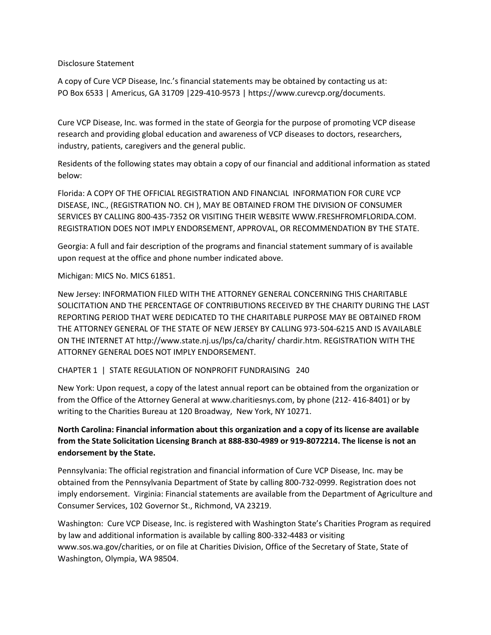Disclosure Statement

A copy of Cure VCP Disease, Inc.'s financial statements may be obtained by contacting us at: PO Box 6533 | Americus, GA 31709 |229-410-9573 | https://www.curevcp.org/documents.

Cure VCP Disease, Inc. was formed in the state of Georgia for the purpose of promoting VCP disease research and providing global education and awareness of VCP diseases to doctors, researchers, industry, patients, caregivers and the general public.

Residents of the following states may obtain a copy of our financial and additional information as stated below:

Florida: A COPY OF THE OFFICIAL REGISTRATION AND FINANCIAL INFORMATION FOR CURE VCP DISEASE, INC., (REGISTRATION NO. CH ), MAY BE OBTAINED FROM THE DIVISION OF CONSUMER SERVICES BY CALLING 800-435-7352 OR VISITING THEIR WEBSITE WWW.FRESHFROMFLORIDA.COM. REGISTRATION DOES NOT IMPLY ENDORSEMENT, APPROVAL, OR RECOMMENDATION BY THE STATE.

Georgia: A full and fair description of the programs and financial statement summary of is available upon request at the office and phone number indicated above.

Michigan: MICS No. MICS 61851.

New Jersey: INFORMATION FILED WITH THE ATTORNEY GENERAL CONCERNING THIS CHARITABLE SOLICITATION AND THE PERCENTAGE OF CONTRIBUTIONS RECEIVED BY THE CHARITY DURING THE LAST REPORTING PERIOD THAT WERE DEDICATED TO THE CHARITABLE PURPOSE MAY BE OBTAINED FROM THE ATTORNEY GENERAL OF THE STATE OF NEW JERSEY BY CALLING 973-504-6215 AND IS AVAILABLE ON THE INTERNET AT http://www.state.nj.us/lps/ca/charity/ chardir.htm. REGISTRATION WITH THE ATTORNEY GENERAL DOES NOT IMPLY ENDORSEMENT.

CHAPTER 1 | STATE REGULATION OF NONPROFIT FUNDRAISING 240

New York: Upon request, a copy of the latest annual report can be obtained from the organization or from the Office of the Attorney General at www.charitiesnys.com, by phone (212- 416-8401) or by writing to the Charities Bureau at 120 Broadway, New York, NY 10271.

**North Carolina: Financial information about this organization and a copy of its license are available from the State Solicitation Licensing Branch at 888-830-4989 or 919-8072214. The license is not an endorsement by the State.** 

Pennsylvania: The official registration and financial information of Cure VCP Disease, Inc. may be obtained from the Pennsylvania Department of State by calling 800-732-0999. Registration does not imply endorsement. Virginia: Financial statements are available from the Department of Agriculture and Consumer Services, 102 Governor St., Richmond, VA 23219.

Washington: Cure VCP Disease, Inc. is registered with Washington State's Charities Program as required by law and additional information is available by calling 800-332-4483 or visiting www.sos.wa.gov/charities, or on file at Charities Division, Office of the Secretary of State, State of Washington, Olympia, WA 98504.